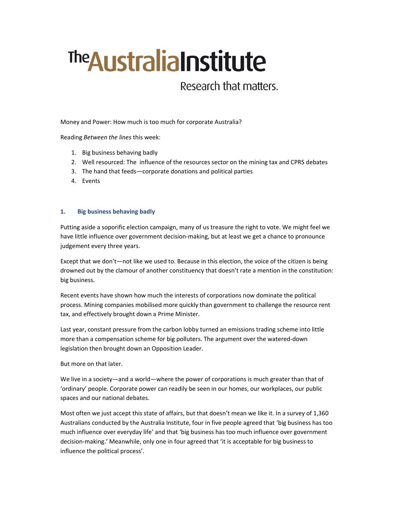# The Australia Institute

## Research that matters.

Money and Power: How much is too much for corporate Australia?

Reading Between the lines this week:

- 1. Big business behaving badly
- 2. Well resourced: The influence of the resources sector on the mining tax and CPRS debates
- 3. The hand that feeds—corporate donations and political parties
- 4. Events

#### 1. Big business behaving badly

Putting aside a soporific election campaign, many of us treasure the right to vote. We might feel we have little influence over government decision-making, but at least we get a chance to pronounce judgement every three years.

Except that we don't—not like we used to. Because in this election, the voice of the citizen is being drowned out by the clamour of another constituency that doesn't rate a mention in the constitution: big business.

Recent events have shown how much the interests of corporations now dominate the political process. Mining companies mobilised more quickly than government to challenge the resource rent tax, and effectively brought down a Prime Minister.

Last year, constant pressure from the carbon lobby turned an emissions trading scheme into little more than a compensation scheme for big polluters. The argument over the watered-down legislation then brought down an Opposition Leader.

But more on that later.

We live in a society—and a world—where the power of corporations is much greater than that of 'ordinary' people. Corporate power can readily be seen in our homes, our workplaces, our public spaces and our national debates.

Most often we just accept this state of affairs, but that doesn't mean we like it. In a survey of 1,360 Australians conducted by the Australia Institute, four in five people agreed that 'big business has too much influence over everyday life' and that 'big business has too much influence over government decision-making.' Meanwhile, only one in four agreed that 'it is acceptable for big business to influence the political process'.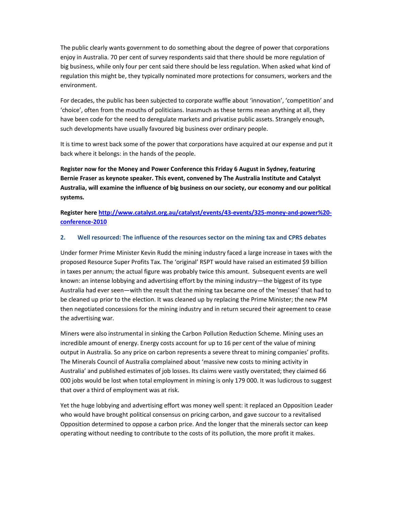The public clearly wants government to do something about the degree of power that corporations enjoy in Australia. 70 per cent of survey respondents said that there should be more regulation of big business, while only four per cent said there should be less regulation. When asked what kind of regulation this might be, they typically nominated more protections for consumers, workers and the environment.

For decades, the public has been subjected to corporate waffle about 'innovation', 'competition' and 'choice', often from the mouths of politicians. Inasmuch as these terms mean anything at all, they have been code for the need to deregulate markets and privatise public assets. Strangely enough, such developments have usually favoured big business over ordinary people.

It is time to wrest back some of the power that corporations have acquired at our expense and put it back where it belongs: in the hands of the people.

Register now for the Money and Power Conference this Friday 6 August in Sydney, featuring Bernie Fraser as keynote speaker. This event, convened by The Australia Institute and Catalyst Australia, will examine the influence of big business on our society, our economy and our political systems.

Register here http://www.catalyst.org.au/catalyst/events/43-events/325-money-and-power%20conference-2010

#### 2. Well resourced: The influence of the resources sector on the mining tax and CPRS debates

Under former Prime Minister Kevin Rudd the mining industry faced a large increase in taxes with the proposed Resource Super Profits Tax. The 'original' RSPT would have raised an estimated \$9 billion in taxes per annum; the actual figure was probably twice this amount. Subsequent events are well known: an intense lobbying and advertising effort by the mining industry—the biggest of its type Australia had ever seen—with the result that the mining tax became one of the 'messes' that had to be cleaned up prior to the election. It was cleaned up by replacing the Prime Minister; the new PM then negotiated concessions for the mining industry and in return secured their agreement to cease the advertising war.

Miners were also instrumental in sinking the Carbon Pollution Reduction Scheme. Mining uses an incredible amount of energy. Energy costs account for up to 16 per cent of the value of mining output in Australia. So any price on carbon represents a severe threat to mining companies' profits. The Minerals Council of Australia complained about 'massive new costs to mining activity in Australia' and published estimates of job losses. Its claims were vastly overstated; they claimed 66 000 jobs would be lost when total employment in mining is only 179 000. It was ludicrous to suggest that over a third of employment was at risk.

Yet the huge lobbying and advertising effort was money well spent: it replaced an Opposition Leader who would have brought political consensus on pricing carbon, and gave succour to a revitalised Opposition determined to oppose a carbon price. And the longer that the minerals sector can keep operating without needing to contribute to the costs of its pollution, the more profit it makes.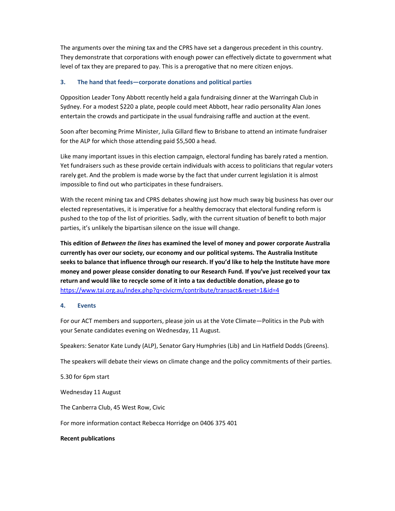The arguments over the mining tax and the CPRS have set a dangerous precedent in this country. They demonstrate that corporations with enough power can effectively dictate to government what level of tax they are prepared to pay. This is a prerogative that no mere citizen enjoys.

### 3. The hand that feeds—corporate donations and political parties

Opposition Leader Tony Abbott recently held a gala fundraising dinner at the Warringah Club in Sydney. For a modest \$220 a plate, people could meet Abbott, hear radio personality Alan Jones entertain the crowds and participate in the usual fundraising raffle and auction at the event.

Soon after becoming Prime Minister, Julia Gillard flew to Brisbane to attend an intimate fundraiser for the ALP for which those attending paid \$5,500 a head.

Like many important issues in this election campaign, electoral funding has barely rated a mention. Yet fundraisers such as these provide certain individuals with access to politicians that regular voters rarely get. And the problem is made worse by the fact that under current legislation it is almost impossible to find out who participates in these fundraisers.

With the recent mining tax and CPRS debates showing just how much sway big business has over our elected representatives, it is imperative for a healthy democracy that electoral funding reform is pushed to the top of the list of priorities. Sadly, with the current situation of benefit to both major parties, it's unlikely the bipartisan silence on the issue will change.

This edition of Between the lines has examined the level of money and power corporate Australia currently has over our society, our economy and our political systems. The Australia Institute seeks to balance that influence through our research. If you'd like to help the Institute have more money and power please consider donating to our Research Fund. If you've just received your tax return and would like to recycle some of it into a tax deductible donation, please go to https://www.tai.org.au/index.php?q=civicrm/contribute/transact&reset=1&id=4

#### 4. Events

For our ACT members and supporters, please join us at the Vote Climate—Politics in the Pub with your Senate candidates evening on Wednesday, 11 August.

Speakers: Senator Kate Lundy (ALP), Senator Gary Humphries (Lib) and Lin Hatfield Dodds (Greens).

The speakers will debate their views on climate change and the policy commitments of their parties.

5.30 for 6pm start

Wednesday 11 August

The Canberra Club, 45 West Row, Civic

For more information contact Rebecca Horridge on 0406 375 401

#### Recent publications